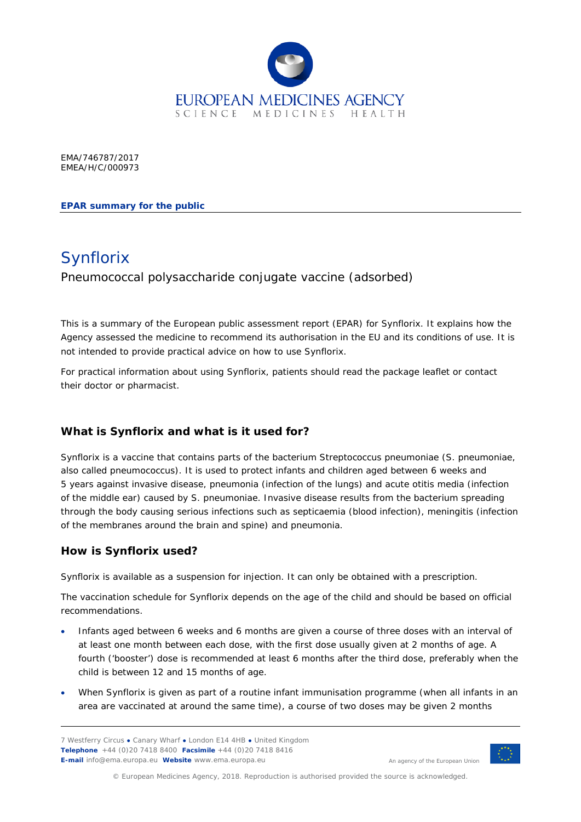

EMA/746787/2017 EMEA/H/C/000973

**EPAR summary for the public** 

# Synflorix

Pneumococcal polysaccharide conjugate vaccine (adsorbed)

This is a summary of the European public assessment report (EPAR) for Synflorix. It explains how the Agency assessed the medicine to recommend its authorisation in the EU and its conditions of use. It is not intended to provide practical advice on how to use Synflorix.

For practical information about using Synflorix, patients should read the package leaflet or contact their doctor or pharmacist.

## **What is Synflorix and what is it used for?**

Synflorix is a vaccine that contains parts of the bacterium *Streptococcus pneumoniae* (*S. pneumoniae*, also called pneumococcus). It is used to protect infants and children aged between 6 weeks and 5 years against invasive disease, pneumonia (infection of the lungs) and acute otitis media (infection of the middle ear) caused by *S. pneumoniae.* Invasive disease results from the bacterium spreading through the body causing serious infections such as septicaemia (blood infection), meningitis (infection of the membranes around the brain and spine) and pneumonia.

#### **How is Synflorix used?**

Synflorix is available as a suspension for injection. It can only be obtained with a prescription.

The vaccination schedule for Synflorix depends on the age of the child and should be based on official recommendations.

- Infants aged between 6 weeks and 6 months are given a course of three doses with an interval of at least one month between each dose, with the first dose usually given at 2 months of age. A fourth ('booster') dose is recommended at least 6 months after the third dose, preferably when the child is between 12 and 15 months of age.
- When Synflorix is given as part of a routine infant immunisation programme (when all infants in an area are vaccinated at around the same time), a course of two doses may be given 2 months

7 Westferry Circus **●** Canary Wharf **●** London E14 4HB **●** United Kingdom **Telephone** +44 (0)20 7418 8400 **Facsimile** +44 (0)20 7418 8416 **E-mail** info@ema.europa.eu **Website** www.ema.europa.eu



An agency of the European Union

© European Medicines Agency, 2018. Reproduction is authorised provided the source is acknowledged.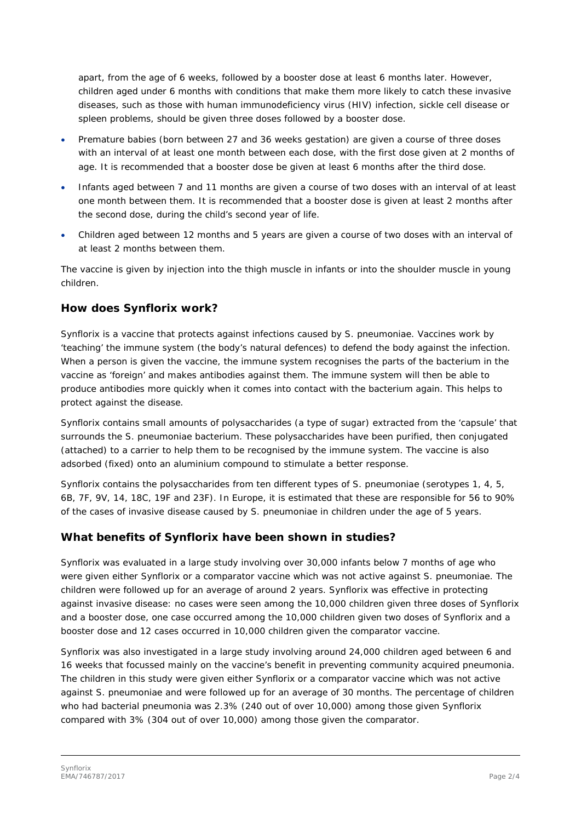apart, from the age of 6 weeks, followed by a booster dose at least 6 months later. However, children aged under 6 months with conditions that make them more likely to catch these invasive diseases, such as those with human immunodeficiency virus (HIV) infection, sickle cell disease or spleen problems, should be given three doses followed by a booster dose.

- Premature babies (born between 27 and 36 weeks gestation) are given a course of three doses with an interval of at least one month between each dose, with the first dose given at 2 months of age. It is recommended that a booster dose be given at least 6 months after the third dose.
- Infants aged between 7 and 11 months are given a course of two doses with an interval of at least one month between them. It is recommended that a booster dose is given at least 2 months after the second dose, during the child's second year of life.
- Children aged between 12 months and 5 years are given a course of two doses with an interval of at least 2 months between them.

The vaccine is given by injection into the thigh muscle in infants or into the shoulder muscle in young children.

#### **How does Synflorix work?**

Synflorix is a vaccine that protects against infections caused by *S. pneumoniae*. Vaccines work by 'teaching' the immune system (the body's natural defences) to defend the body against the infection. When a person is given the vaccine, the immune system recognises the parts of the bacterium in the vaccine as 'foreign' and makes antibodies against them. The immune system will then be able to produce antibodies more quickly when it comes into contact with the bacterium again. This helps to protect against the disease.

Synflorix contains small amounts of polysaccharides (a type of sugar) extracted from the 'capsule' that surrounds the *S. pneumoniae* bacterium. These polysaccharides have been purified, then conjugated (attached) to a carrier to help them to be recognised by the immune system. The vaccine is also adsorbed (fixed) onto an aluminium compound to stimulate a better response.

Synflorix contains the polysaccharides from ten different types of *S. pneumoniae* (serotypes 1, 4, 5, 6B, 7F, 9V, 14, 18C, 19F and 23F). In Europe, it is estimated that these are responsible for 56 to 90% of the cases of invasive disease caused by *S. pneumoniae* in children under the age of 5 years.

#### **What benefits of Synflorix have been shown in studies?**

Synflorix was evaluated in a large study involving over 30,000 infants below 7 months of age who were given either Synflorix or a comparator vaccine which was not active against *S. pneumoniae.* The children were followed up for an average of around 2 years. Synflorix was effective in protecting against invasive disease: no cases were seen among the 10,000 children given three doses of Synflorix and a booster dose, one case occurred among the 10,000 children given two doses of Synflorix and a booster dose and 12 cases occurred in 10,000 children given the comparator vaccine.

Synflorix was also investigated in a large study involving around 24,000 children aged between 6 and 16 weeks that focussed mainly on the vaccine's benefit in preventing community acquired pneumonia. The children in this study were given either Synflorix or a comparator vaccine which was not active against *S. pneumoniae* and were followed up for an average of 30 months. The percentage of children who had bacterial pneumonia was 2.3% (240 out of over 10,000) among those given Synflorix compared with 3% (304 out of over 10,000) among those given the comparator.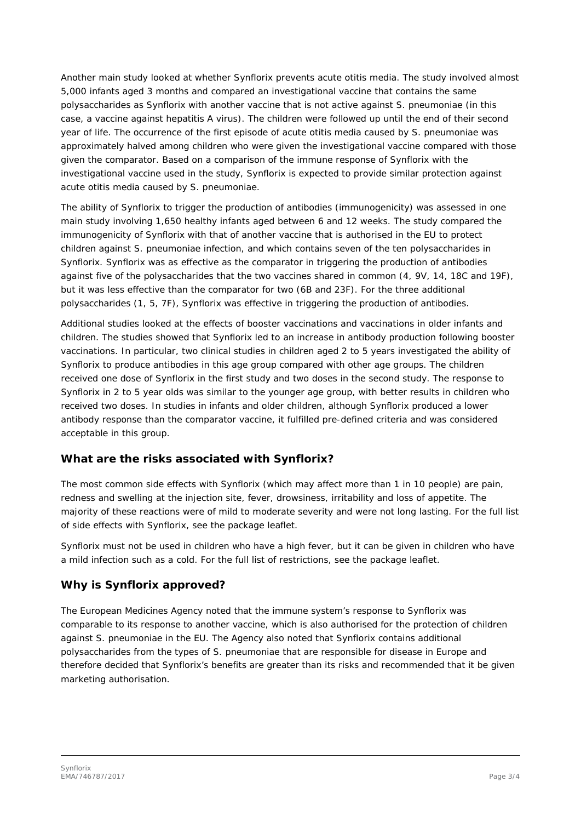Another main study looked at whether Synflorix prevents acute otitis media. The study involved almost 5,000 infants aged 3 months and compared an investigational vaccine that contains the same polysaccharides as Synflorix with another vaccine that is not active against *S. pneumoniae* (in this case, a vaccine against hepatitis A virus). The children were followed up until the end of their second year of life. The occurrence of the first episode of acute otitis media caused by *S. pneumoniae* was approximately halved among children who were given the investigational vaccine compared with those given the comparator. Based on a comparison of the immune response of Synflorix with the investigational vaccine used in the study, Synflorix is expected to provide similar protection against acute otitis media caused by *S. pneumoniae*.

The ability of Synflorix to trigger the production of antibodies (immunogenicity) was assessed in one main study involving 1,650 healthy infants aged between 6 and 12 weeks. The study compared the immunogenicity of Synflorix with that of another vaccine that is authorised in the EU to protect children against *S. pneumoniae* infection, and which contains seven of the ten polysaccharides in Synflorix. Synflorix was as effective as the comparator in triggering the production of antibodies against five of the polysaccharides that the two vaccines shared in common (4, 9V, 14, 18C and 19F), but it was less effective than the comparator for two (6B and 23F). For the three additional polysaccharides (1, 5, 7F), Synflorix was effective in triggering the production of antibodies.

Additional studies looked at the effects of booster vaccinations and vaccinations in older infants and children. The studies showed that Synflorix led to an increase in antibody production following booster vaccinations. In particular, two clinical studies in children aged 2 to 5 years investigated the ability of Synflorix to produce antibodies in this age group compared with other age groups. The children received one dose of Synflorix in the first study and two doses in the second study. The response to Synflorix in 2 to 5 year olds was similar to the younger age group, with better results in children who received two doses. In studies in infants and older children, although Synflorix produced a lower antibody response than the comparator vaccine, it fulfilled pre-defined criteria and was considered acceptable in this group.

#### **What are the risks associated with Synflorix?**

The most common side effects with Synflorix (which may affect more than 1 in 10 people) are pain, redness and swelling at the injection site, fever, drowsiness, irritability and loss of appetite. The majority of these reactions were of mild to moderate severity and were not long lasting. For the full list of side effects with Synflorix, see the package leaflet.

Synflorix must not be used in children who have a high fever, but it can be given in children who have a mild infection such as a cold. For the full list of restrictions, see the package leaflet.

#### **Why is Synflorix approved?**

The European Medicines Agency noted that the immune system's response to Synflorix was comparable to its response to another vaccine, which is also authorised for the protection of children against *S. pneumoniae* in the EU. The Agency also noted that Synflorix contains additional polysaccharides from the types of *S. pneumoniae* that are responsible for disease in Europe and therefore decided that Synflorix's benefits are greater than its risks and recommended that it be given marketing authorisation.